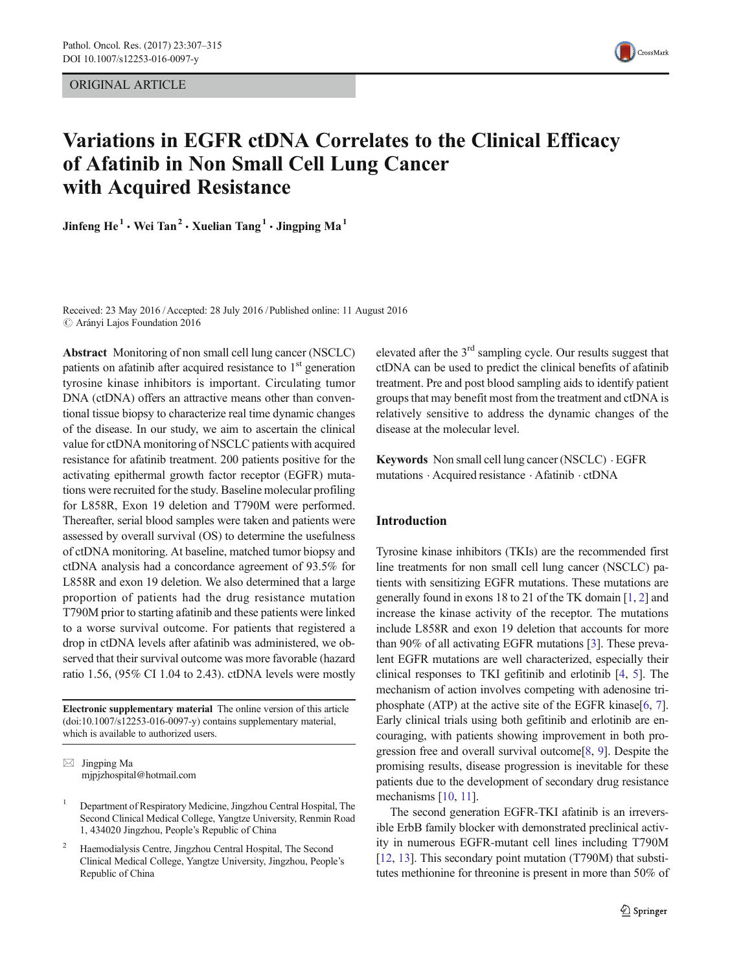ORIGINAL ARTICLE



# Variations in EGFR ctDNA Correlates to the Clinical Efficacy of Afatinib in Non Small Cell Lung Cancer with Acquired Resistance

Jinfeng  $\text{He}^1 \cdot \text{Wei Tan}^2 \cdot \text{Xuelian Tang}^1 \cdot \text{Jingping Ma}^1$ 

Received: 23 May 2016 /Accepted: 28 July 2016 / Published online: 11 August 2016  $\oslash$  Arányi Lajos Foundation 2016

Abstract Monitoring of non small cell lung cancer (NSCLC) patients on afatinib after acquired resistance to  $1<sup>st</sup>$  generation tyrosine kinase inhibitors is important. Circulating tumor DNA (ctDNA) offers an attractive means other than conventional tissue biopsy to characterize real time dynamic changes of the disease. In our study, we aim to ascertain the clinical value for ctDNA monitoring of NSCLC patients with acquired resistance for afatinib treatment. 200 patients positive for the activating epithermal growth factor receptor (EGFR) mutations were recruited for the study. Baseline molecular profiling for L858R, Exon 19 deletion and T790M were performed. Thereafter, serial blood samples were taken and patients were assessed by overall survival (OS) to determine the usefulness of ctDNA monitoring. At baseline, matched tumor biopsy and ctDNA analysis had a concordance agreement of 93.5% for L858R and exon 19 deletion. We also determined that a large proportion of patients had the drug resistance mutation T790M prior to starting afatinib and these patients were linked to a worse survival outcome. For patients that registered a drop in ctDNA levels after afatinib was administered, we observed that their survival outcome was more favorable (hazard ratio 1.56, (95% CI 1.04 to 2.43). ctDNA levels were mostly

Electronic supplementary material The online version of this article (doi[:10.1007/s12253-016-0097-y](http://dx.doi.org/10.1007/s12253-016-0097-y)) contains supplementary material, which is available to authorized users.

 $\boxtimes$  Jingping Ma mjpjzhospital@hotmail.com

<sup>2</sup> Haemodialysis Centre, Jingzhou Central Hospital, The Second Clinical Medical College, Yangtze University, Jingzhou, People's Republic of China

elevated after the 3rd sampling cycle. Our results suggest that ctDNA can be used to predict the clinical benefits of afatinib treatment. Pre and post blood sampling aids to identify patient groups that may benefit most from the treatment and ctDNA is relatively sensitive to address the dynamic changes of the disease at the molecular level.

Keywords Non small cell lung cancer (NSCLC) . EGFR mutations . Acquired resistance . Afatinib . ctDNA

#### Introduction

Tyrosine kinase inhibitors (TKIs) are the recommended first line treatments for non small cell lung cancer (NSCLC) patients with sensitizing EGFR mutations. These mutations are generally found in exons 18 to 21 of the TK domain [[1](#page-7-0), [2\]](#page-7-0) and increase the kinase activity of the receptor. The mutations include L858R and exon 19 deletion that accounts for more than 90% of all activating EGFR mutations [[3\]](#page-7-0). These prevalent EGFR mutations are well characterized, especially their clinical responses to TKI gefitinib and erlotinib [[4,](#page-7-0) [5\]](#page-7-0). The mechanism of action involves competing with adenosine triphosphate (ATP) at the active site of the EGFR kinase[\[6](#page-7-0), [7\]](#page-7-0). Early clinical trials using both gefitinib and erlotinib are encouraging, with patients showing improvement in both progression free and overall survival outcome[\[8](#page-7-0), [9](#page-7-0)]. Despite the promising results, disease progression is inevitable for these patients due to the development of secondary drug resistance mechanisms [[10,](#page-7-0) [11](#page-7-0)].

The second generation EGFR-TKI afatinib is an irreversible ErbB family blocker with demonstrated preclinical activity in numerous EGFR-mutant cell lines including T790M [\[12](#page-7-0), [13\]](#page-7-0). This secondary point mutation (T790M) that substitutes methionine for threonine is present in more than 50% of

<sup>1</sup> Department of Respiratory Medicine, Jingzhou Central Hospital, The Second Clinical Medical College, Yangtze University, Renmin Road 1, 434020 Jingzhou, People's Republic of China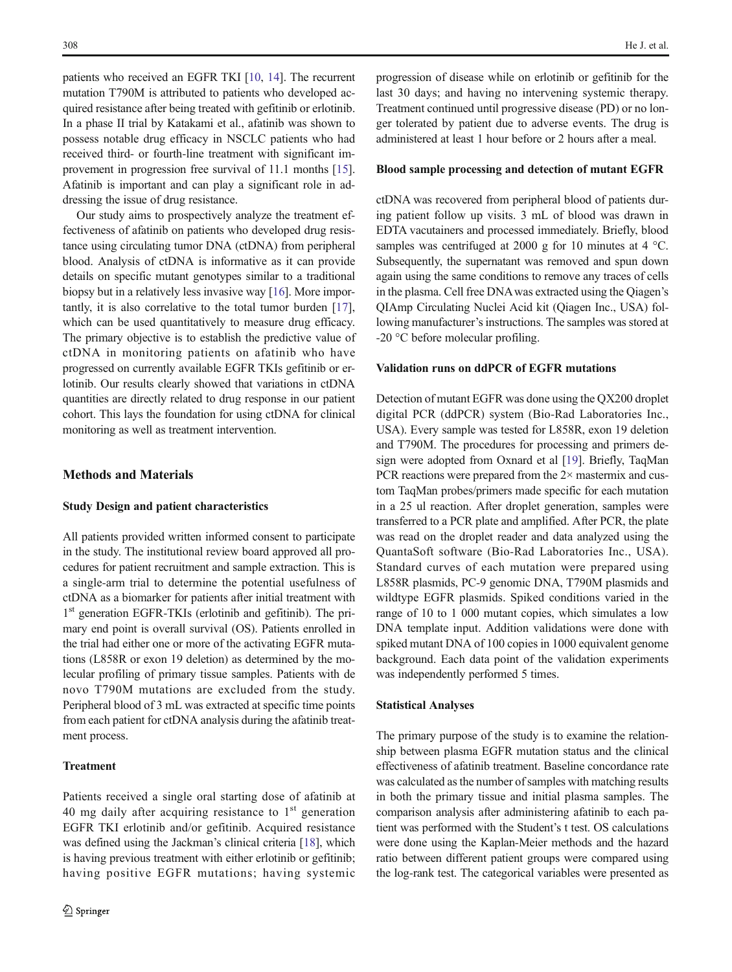patients who received an EGFR TKI [\[10](#page-7-0), [14\]](#page-7-0). The recurrent mutation T790M is attributed to patients who developed acquired resistance after being treated with gefitinib or erlotinib. In a phase II trial by Katakami et al., afatinib was shown to possess notable drug efficacy in NSCLC patients who had received third- or fourth-line treatment with significant improvement in progression free survival of 11.1 months [[15\]](#page-7-0). Afatinib is important and can play a significant role in addressing the issue of drug resistance.

Our study aims to prospectively analyze the treatment effectiveness of afatinib on patients who developed drug resistance using circulating tumor DNA (ctDNA) from peripheral blood. Analysis of ctDNA is informative as it can provide details on specific mutant genotypes similar to a traditional biopsy but in a relatively less invasive way [[16\]](#page-7-0). More importantly, it is also correlative to the total tumor burden [\[17](#page-7-0)], which can be used quantitatively to measure drug efficacy. The primary objective is to establish the predictive value of ctDNA in monitoring patients on afatinib who have progressed on currently available EGFR TKIs gefitinib or erlotinib. Our results clearly showed that variations in ctDNA quantities are directly related to drug response in our patient cohort. This lays the foundation for using ctDNA for clinical monitoring as well as treatment intervention.

# Methods and Materials

#### Study Design and patient characteristics

All patients provided written informed consent to participate in the study. The institutional review board approved all procedures for patient recruitment and sample extraction. This is a single-arm trial to determine the potential usefulness of ctDNA as a biomarker for patients after initial treatment with 1<sup>st</sup> generation EGFR-TKIs (erlotinib and gefitinib). The primary end point is overall survival (OS). Patients enrolled in the trial had either one or more of the activating EGFR mutations (L858R or exon 19 deletion) as determined by the molecular profiling of primary tissue samples. Patients with de novo T790M mutations are excluded from the study. Peripheral blood of 3 mL was extracted at specific time points from each patient for ctDNA analysis during the afatinib treatment process.

# Treatment

Patients received a single oral starting dose of afatinib at 40 mg daily after acquiring resistance to  $1<sup>st</sup>$  generation EGFR TKI erlotinib and/or gefitinib. Acquired resistance was defined using the Jackman's clinical criteria [\[18\]](#page-7-0), which is having previous treatment with either erlotinib or gefitinib; having positive EGFR mutations; having systemic progression of disease while on erlotinib or gefitinib for the last 30 days; and having no intervening systemic therapy. Treatment continued until progressive disease (PD) or no longer tolerated by patient due to adverse events. The drug is administered at least 1 hour before or 2 hours after a meal.

#### Blood sample processing and detection of mutant EGFR

ctDNA was recovered from peripheral blood of patients during patient follow up visits. 3 mL of blood was drawn in EDTA vacutainers and processed immediately. Briefly, blood samples was centrifuged at 2000 g for 10 minutes at 4 °C. Subsequently, the supernatant was removed and spun down again using the same conditions to remove any traces of cells in the plasma. Cell free DNAwas extracted using the Qiagen's QIAmp Circulating Nuclei Acid kit (Qiagen Inc., USA) following manufacturer's instructions. The samples was stored at -20 °C before molecular profiling.

#### Validation runs on ddPCR of EGFR mutations

Detection of mutant EGFR was done using the QX200 droplet digital PCR (ddPCR) system (Bio-Rad Laboratories Inc., USA). Every sample was tested for L858R, exon 19 deletion and T790M. The procedures for processing and primers design were adopted from Oxnard et al [[19](#page-7-0)]. Briefly, TaqMan PCR reactions were prepared from the 2× mastermix and custom TaqMan probes/primers made specific for each mutation in a 25 ul reaction. After droplet generation, samples were transferred to a PCR plate and amplified. After PCR, the plate was read on the droplet reader and data analyzed using the QuantaSoft software (Bio-Rad Laboratories Inc., USA). Standard curves of each mutation were prepared using L858R plasmids, PC-9 genomic DNA, T790M plasmids and wildtype EGFR plasmids. Spiked conditions varied in the range of 10 to 1 000 mutant copies, which simulates a low DNA template input. Addition validations were done with spiked mutant DNA of 100 copies in 1000 equivalent genome background. Each data point of the validation experiments was independently performed 5 times.

#### Statistical Analyses

The primary purpose of the study is to examine the relationship between plasma EGFR mutation status and the clinical effectiveness of afatinib treatment. Baseline concordance rate was calculated as the number of samples with matching results in both the primary tissue and initial plasma samples. The comparison analysis after administering afatinib to each patient was performed with the Student's t test. OS calculations were done using the Kaplan-Meier methods and the hazard ratio between different patient groups were compared using the log-rank test. The categorical variables were presented as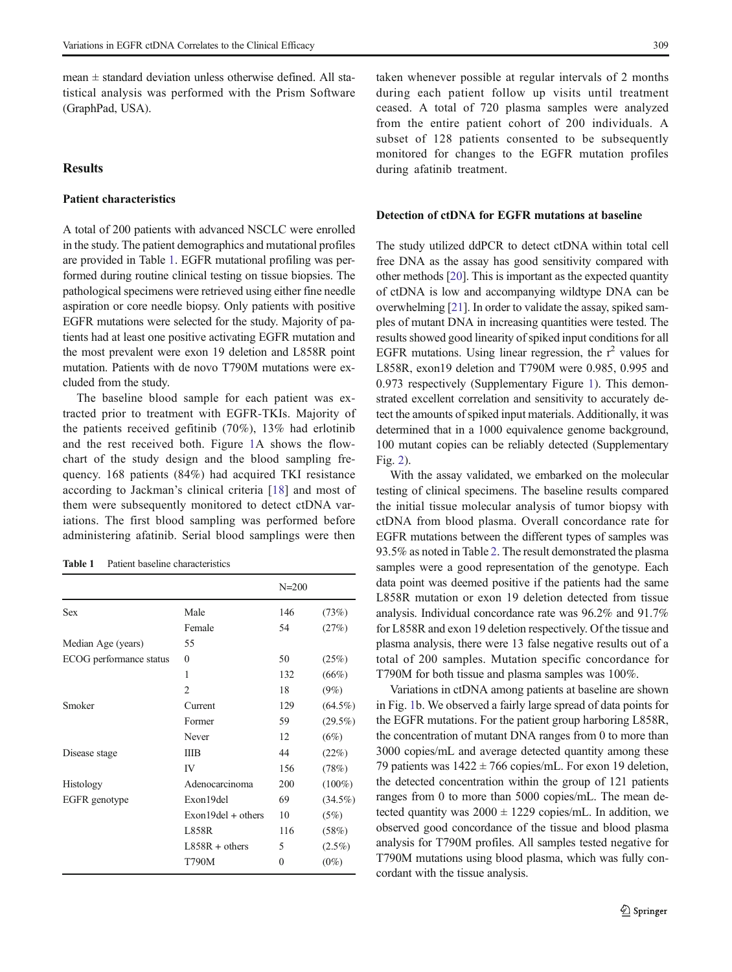mean  $\pm$  standard deviation unless otherwise defined. All statistical analysis was performed with the Prism Software (GraphPad, USA).

# **Results**

### Patient characteristics

A total of 200 patients with advanced NSCLC were enrolled in the study. The patient demographics and mutational profiles are provided in Table 1. EGFR mutational profiling was performed during routine clinical testing on tissue biopsies. The pathological specimens were retrieved using either fine needle aspiration or core needle biopsy. Only patients with positive EGFR mutations were selected for the study. Majority of patients had at least one positive activating EGFR mutation and the most prevalent were exon 19 deletion and L858R point mutation. Patients with de novo T790M mutations were excluded from the study.

The baseline blood sample for each patient was extracted prior to treatment with EGFR-TKIs. Majority of the patients received gefitinib (70%), 13% had erlotinib and the rest received both. Figure [1A](#page-3-0) shows the flowchart of the study design and the blood sampling frequency. 168 patients (84%) had acquired TKI resistance according to Jackman's clinical criteria [[18\]](#page-7-0) and most of them were subsequently monitored to detect ctDNA variations. The first blood sampling was performed before administering afatinib. Serial blood samplings were then

Table 1 Patient baseline characteristics

|                         |                      | $N = 200$ |            |
|-------------------------|----------------------|-----------|------------|
| <b>Sex</b>              | Male                 | 146       | (73%)      |
|                         | Female               | 54        | (27%)      |
| Median Age (years)      | 55                   |           |            |
| ECOG performance status | $\theta$             | 50        | (25%)      |
|                         | 1                    | 132       | $(66\%)$   |
|                         | $\overline{c}$       | 18        | $(9\%)$    |
| Smoker                  | Current              | 129       | $(64.5\%)$ |
|                         | Former               | 59        | $(29.5\%)$ |
|                         | Never                | 12        | $(6\%)$    |
| Disease stage           | <b>IIIB</b>          | 44        | (22%)      |
|                         | IV                   | 156       | (78%)      |
| <b>Histology</b>        | Adenocarcinoma       | 200       | $(100\%)$  |
| EGFR genotype           | Exon19del            | 69        | $(34.5\%)$ |
|                         | $Exon19del + others$ | 10        | (5%)       |
|                         | <b>L858R</b>         | 116       | (58%)      |
|                         | $L858R + others$     | 5         | $(2.5\%)$  |
|                         | T790M                | $\theta$  | $(0\%)$    |

taken whenever possible at regular intervals of 2 months during each patient follow up visits until treatment ceased. A total of 720 plasma samples were analyzed from the entire patient cohort of 200 individuals. A subset of 128 patients consented to be subsequently monitored for changes to the EGFR mutation profiles during afatinib treatment.

#### Detection of ctDNA for EGFR mutations at baseline

The study utilized ddPCR to detect ctDNA within total cell free DNA as the assay has good sensitivity compared with other methods [\[20](#page-7-0)]. This is important as the expected quantity of ctDNA is low and accompanying wildtype DNA can be overwhelming [\[21](#page-7-0)]. In order to validate the assay, spiked samples of mutant DNA in increasing quantities were tested. The results showed good linearity of spiked input conditions for all EGFR mutations. Using linear regression, the  $r^2$  values for L858R, exon19 deletion and T790M were 0.985, 0.995 and 0.973 respectively (Supplementary Figure 1). This demonstrated excellent correlation and sensitivity to accurately detect the amounts of spiked input materials. Additionally, it was determined that in a 1000 equivalence genome background, 100 mutant copies can be reliably detected (Supplementary Fig. 2).

With the assay validated, we embarked on the molecular testing of clinical specimens. The baseline results compared the initial tissue molecular analysis of tumor biopsy with ctDNA from blood plasma. Overall concordance rate for EGFR mutations between the different types of samples was 93.5% as noted in Table [2](#page-3-0). The result demonstrated the plasma samples were a good representation of the genotype. Each data point was deemed positive if the patients had the same L858R mutation or exon 19 deletion detected from tissue analysis. Individual concordance rate was 96.2% and 91.7% for L858R and exon 19 deletion respectively. Of the tissue and plasma analysis, there were 13 false negative results out of a total of 200 samples. Mutation specific concordance for T790M for both tissue and plasma samples was 100%.

Variations in ctDNA among patients at baseline are shown in Fig. [1](#page-3-0)b. We observed a fairly large spread of data points for the EGFR mutations. For the patient group harboring L858R, the concentration of mutant DNA ranges from 0 to more than 3000 copies/mL and average detected quantity among these 79 patients was  $1422 \pm 766$  copies/mL. For exon 19 deletion, the detected concentration within the group of 121 patients ranges from 0 to more than 5000 copies/mL. The mean detected quantity was  $2000 \pm 1229$  copies/mL. In addition, we observed good concordance of the tissue and blood plasma analysis for T790M profiles. All samples tested negative for T790M mutations using blood plasma, which was fully concordant with the tissue analysis.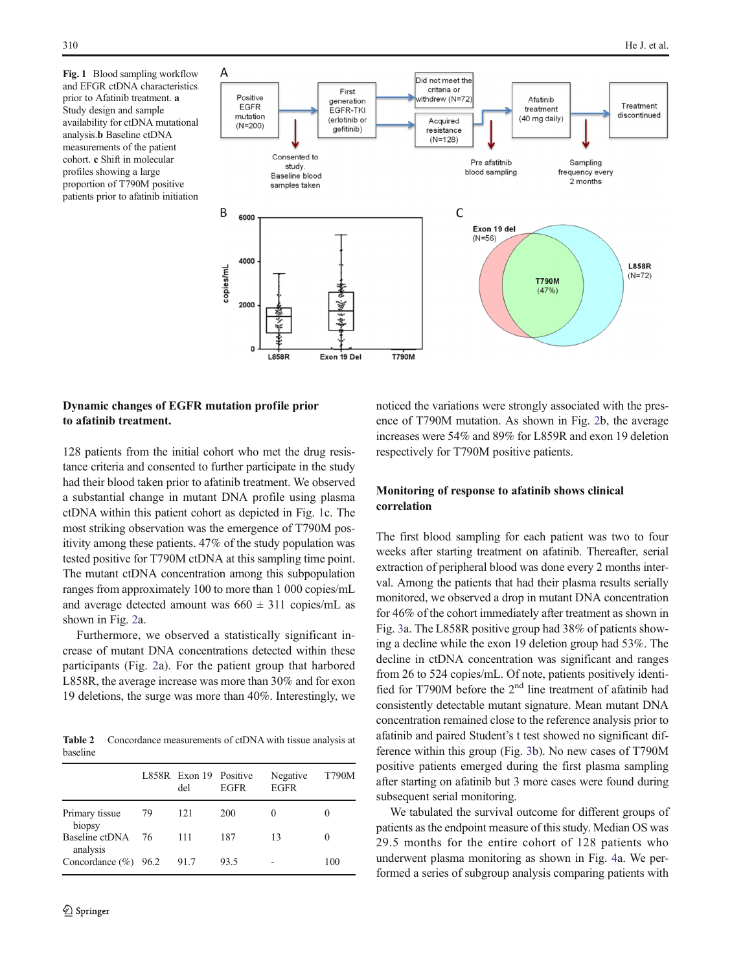<span id="page-3-0"></span>Fig. 1 Blood sampling workflow and EFGR ctDNA characteristics prior to Afatinib treatment. a Study design and sample availability for ctDNA mutational analysis.b Baseline ctDNA measurements of the patient cohort. c Shift in molecular profiles showing a large proportion of T790M positive patients prior to afatinib initiation



# Dynamic changes of EGFR mutation profile prior to afatinib treatment.

128 patients from the initial cohort who met the drug resistance criteria and consented to further participate in the study had their blood taken prior to afatinib treatment. We observed a substantial change in mutant DNA profile using plasma ctDNA within this patient cohort as depicted in Fig. 1c. The most striking observation was the emergence of T790M positivity among these patients. 47% of the study population was tested positive for T790M ctDNA at this sampling time point. The mutant ctDNA concentration among this subpopulation ranges from approximately 100 to more than 1 000 copies/mL and average detected amount was  $660 \pm 311$  copies/mL as shown in Fig. [2](#page-4-0)a.

Furthermore, we observed a statistically significant increase of mutant DNA concentrations detected within these participants (Fig. [2](#page-4-0)a). For the patient group that harbored L858R, the average increase was more than 30% and for exon 19 deletions, the surge was more than 40%. Interestingly, we

Table 2 Concordance measurements of ctDNA with tissue analysis at baseline

|                               |     | L858R Exon 19 Positive<br>del | <b>EGFR</b> | Negative<br><b>EGFR</b> | T790M    |
|-------------------------------|-----|-------------------------------|-------------|-------------------------|----------|
| Primary tissue<br>biopsy      | -79 | 121                           | 200         |                         |          |
| Baseline ctDNA 76<br>analysis |     | - 111                         | 187         | 13                      | $\theta$ |
| Concordance $(\%)$ 96.2       |     | 91.7                          | 93.5        |                         | 100      |

noticed the variations were strongly associated with the presence of T790M mutation. As shown in Fig. [2](#page-4-0)b, the average increases were 54% and 89% for L859R and exon 19 deletion respectively for T790M positive patients.

# Monitoring of response to afatinib shows clinical correlation

The first blood sampling for each patient was two to four weeks after starting treatment on afatinib. Thereafter, serial extraction of peripheral blood was done every 2 months interval. Among the patients that had their plasma results serially monitored, we observed a drop in mutant DNA concentration for 46% of the cohort immediately after treatment as shown in Fig. [3a](#page-4-0). The L858R positive group had 38% of patients showing a decline while the exon 19 deletion group had 53%. The decline in ctDNA concentration was significant and ranges from 26 to 524 copies/mL. Of note, patients positively identified for T790M before the  $2<sup>nd</sup>$  line treatment of afatinib had consistently detectable mutant signature. Mean mutant DNA concentration remained close to the reference analysis prior to afatinib and paired Student's t test showed no significant difference within this group (Fig. [3](#page-4-0)b). No new cases of T790M positive patients emerged during the first plasma sampling after starting on afatinib but 3 more cases were found during subsequent serial monitoring.

We tabulated the survival outcome for different groups of patients as the endpoint measure of this study. Median OS was 29.5 months for the entire cohort of 128 patients who underwent plasma monitoring as shown in Fig. [4a](#page-5-0). We performed a series of subgroup analysis comparing patients with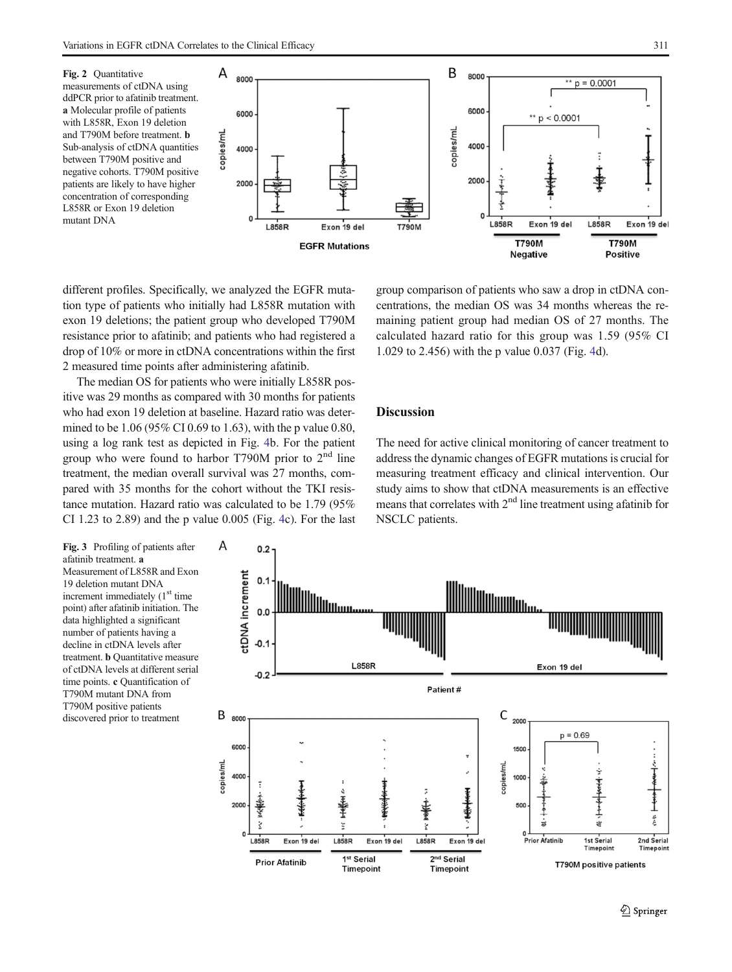<span id="page-4-0"></span>



different profiles. Specifically, we analyzed the EGFR mutation type of patients who initially had L858R mutation with exon 19 deletions; the patient group who developed T790M resistance prior to afatinib; and patients who had registered a drop of 10% or more in ctDNA concentrations within the first 2 measured time points after administering afatinib.

The median OS for patients who were initially L858R positive was 29 months as compared with 30 months for patients who had exon 19 deletion at baseline. Hazard ratio was determined to be 1.06 (95% CI 0.69 to 1.63), with the p value 0.80, using a log rank test as depicted in Fig. [4b](#page-5-0). For the patient group who were found to harbor T790M prior to  $2<sup>nd</sup>$  line treatment, the median overall survival was 27 months, compared with 35 months for the cohort without the TKI resistance mutation. Hazard ratio was calculated to be 1.79 (95% CI 1.23 to 2.89) and the p value 0.005 (Fig. [4c](#page-5-0)). For the last group comparison of patients who saw a drop in ctDNA concentrations, the median OS was 34 months whereas the remaining patient group had median OS of 27 months. The calculated hazard ratio for this group was 1.59 (95% CI 1.029 to 2.456) with the p value 0.037 (Fig. [4d](#page-5-0)).

# **Discussion**

The need for active clinical monitoring of cancer treatment to address the dynamic changes of EGFR mutations is crucial for measuring treatment efficacy and clinical intervention. Our study aims to show that ctDNA measurements is an effective means that correlates with  $2<sup>nd</sup>$  line treatment using afatinib for NSCLC patients.

Fig. 3 Profiling of patients after afatinib treatment. a Measurement of L858R and Exon 19 deletion mutant DNA increment immediately  $(1<sup>st</sup> time$ point) after afatinib initiation. The data highlighted a significant number of patients having a decline in ctDNA levels after treatment. b Quantitative measure of ctDNA levels at different serial time points. c Quantification of T790M mutant DNA from T790M positive patients discovered prior to treatment

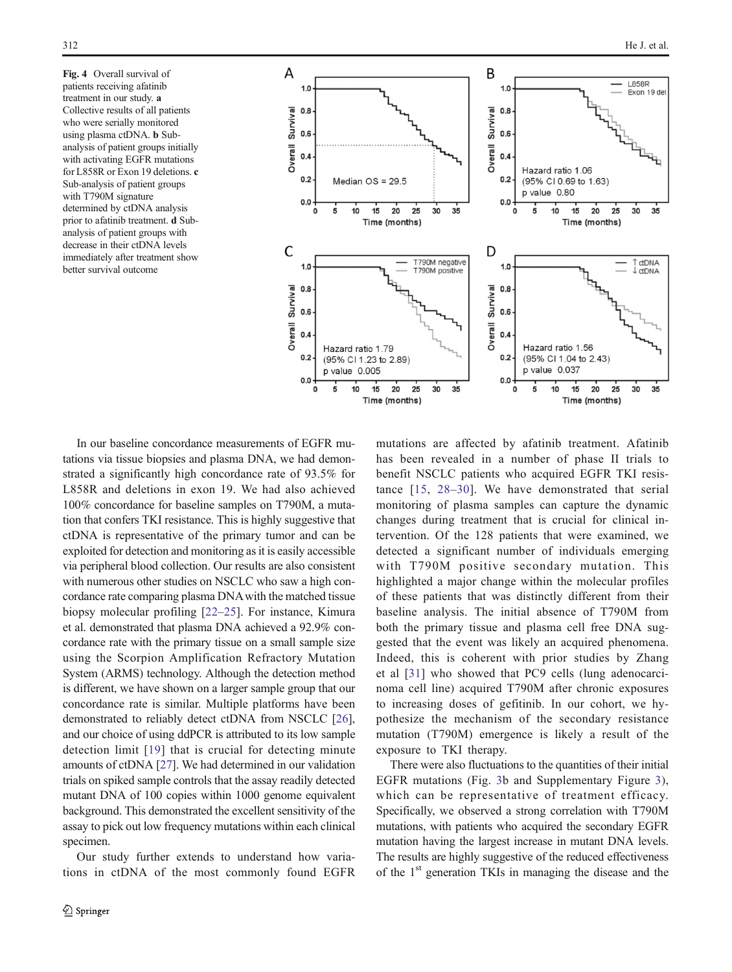<span id="page-5-0"></span>Fig. 4 Overall survival of patients receiving afatinib treatment in our study. a Collective results of all patients who were serially monitored using plasma ctDNA. b Subanalysis of patient groups initially with activating EGFR mutations for L858R or Exon 19 deletions. c Sub-analysis of patient groups with T790M signature determined by ctDNA analysis prior to afatinib treatment. d Subanalysis of patient groups with decrease in their ctDNA levels immediately after treatment show better survival outcome



In our baseline concordance measurements of EGFR mutations via tissue biopsies and plasma DNA, we had demonstrated a significantly high concordance rate of 93.5% for L858R and deletions in exon 19. We had also achieved 100% concordance for baseline samples on T790M, a mutation that confers TKI resistance. This is highly suggestive that ctDNA is representative of the primary tumor and can be exploited for detection and monitoring as it is easily accessible via peripheral blood collection. Our results are also consistent with numerous other studies on NSCLC who saw a high concordance rate comparing plasma DNAwith the matched tissue biopsy molecular profiling [\[22](#page-7-0)–[25](#page-8-0)]. For instance, Kimura et al. demonstrated that plasma DNA achieved a 92.9% concordance rate with the primary tissue on a small sample size using the Scorpion Amplification Refractory Mutation System (ARMS) technology. Although the detection method is different, we have shown on a larger sample group that our concordance rate is similar. Multiple platforms have been demonstrated to reliably detect ctDNA from NSCLC [[26](#page-8-0)], and our choice of using ddPCR is attributed to its low sample detection limit [[19](#page-7-0)] that is crucial for detecting minute amounts of ctDNA [\[27](#page-8-0)]. We had determined in our validation trials on spiked sample controls that the assay readily detected mutant DNA of 100 copies within 1000 genome equivalent background. This demonstrated the excellent sensitivity of the assay to pick out low frequency mutations within each clinical specimen.

Our study further extends to understand how variations in ctDNA of the most commonly found EGFR mutations are affected by afatinib treatment. Afatinib has been revealed in a number of phase II trials to benefit NSCLC patients who acquired EGFR TKI resistance [\[15,](#page-7-0) [28](#page-8-0)–[30](#page-8-0)]. We have demonstrated that serial monitoring of plasma samples can capture the dynamic changes during treatment that is crucial for clinical intervention. Of the 128 patients that were examined, we detected a significant number of individuals emerging with T790M positive secondary mutation. This highlighted a major change within the molecular profiles of these patients that was distinctly different from their baseline analysis. The initial absence of T790M from both the primary tissue and plasma cell free DNA suggested that the event was likely an acquired phenomena. Indeed, this is coherent with prior studies by Zhang et al [[31\]](#page-8-0) who showed that PC9 cells (lung adenocarcinoma cell line) acquired T790M after chronic exposures to increasing doses of gefitinib. In our cohort, we hypothesize the mechanism of the secondary resistance mutation (T790M) emergence is likely a result of the exposure to TKI therapy.

There were also fluctuations to the quantities of their initial EGFR mutations (Fig. [3](#page-4-0)b and Supplementary Figure 3), which can be representative of treatment efficacy. Specifically, we observed a strong correlation with T790M mutations, with patients who acquired the secondary EGFR mutation having the largest increase in mutant DNA levels. The results are highly suggestive of the reduced effectiveness of the 1st generation TKIs in managing the disease and the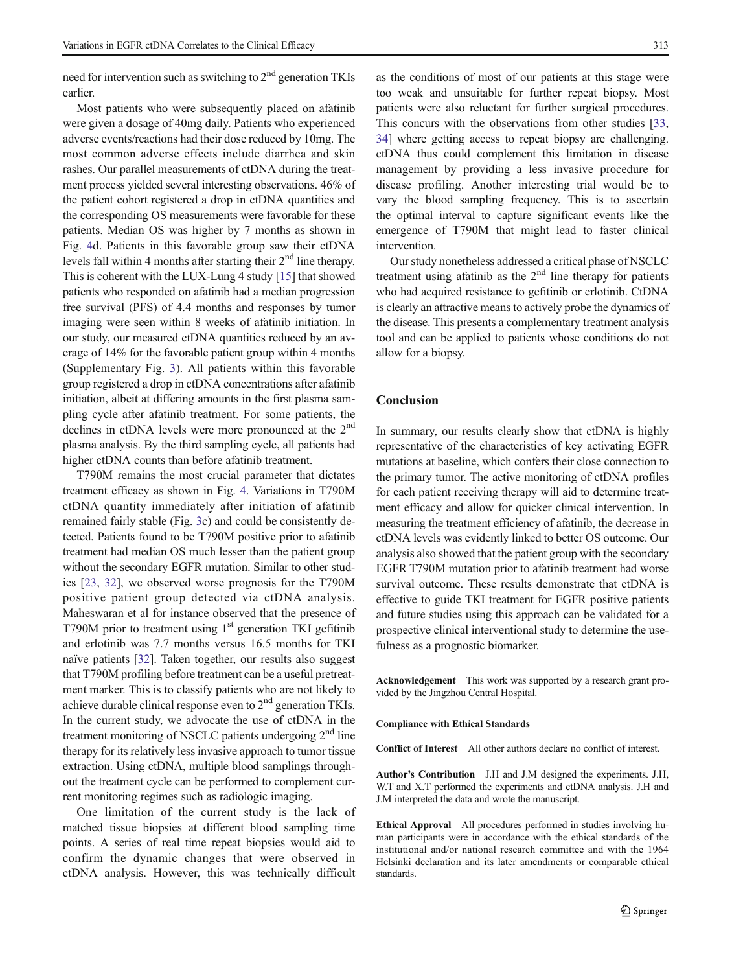need for intervention such as switching to  $2<sup>nd</sup>$  generation TKIs earlier.

Most patients who were subsequently placed on afatinib were given a dosage of 40mg daily. Patients who experienced adverse events/reactions had their dose reduced by 10mg. The most common adverse effects include diarrhea and skin rashes. Our parallel measurements of ctDNA during the treatment process yielded several interesting observations. 46% of the patient cohort registered a drop in ctDNA quantities and the corresponding OS measurements were favorable for these patients. Median OS was higher by 7 months as shown in Fig. [4d](#page-5-0). Patients in this favorable group saw their ctDNA levels fall within 4 months after starting their  $2<sup>nd</sup>$  line therapy. This is coherent with the LUX-Lung 4 study [[15](#page-7-0)] that showed patients who responded on afatinib had a median progression free survival (PFS) of 4.4 months and responses by tumor imaging were seen within 8 weeks of afatinib initiation. In our study, our measured ctDNA quantities reduced by an average of 14% for the favorable patient group within 4 months (Supplementary Fig. 3). All patients within this favorable group registered a drop in ctDNA concentrations after afatinib initiation, albeit at differing amounts in the first plasma sampling cycle after afatinib treatment. For some patients, the declines in ctDNA levels were more pronounced at the 2<sup>nd</sup> plasma analysis. By the third sampling cycle, all patients had higher ctDNA counts than before afatinib treatment.

T790M remains the most crucial parameter that dictates treatment efficacy as shown in Fig. [4](#page-5-0). Variations in T790M ctDNA quantity immediately after initiation of afatinib remained fairly stable (Fig. [3c](#page-4-0)) and could be consistently detected. Patients found to be T790M positive prior to afatinib treatment had median OS much lesser than the patient group without the secondary EGFR mutation. Similar to other studies [[23,](#page-8-0) [32\]](#page-8-0), we observed worse prognosis for the T790M positive patient group detected via ctDNA analysis. Maheswaran et al for instance observed that the presence of T790M prior to treatment using  $1<sup>st</sup>$  generation TKI gefitinib and erlotinib was 7.7 months versus 16.5 months for TKI naïve patients [\[32\]](#page-8-0). Taken together, our results also suggest that T790M profiling before treatment can be a useful pretreatment marker. This is to classify patients who are not likely to achieve durable clinical response even to  $2<sup>nd</sup>$  generation TKIs. In the current study, we advocate the use of ctDNA in the treatment monitoring of NSCLC patients undergoing 2<sup>nd</sup> line therapy for its relatively less invasive approach to tumor tissue extraction. Using ctDNA, multiple blood samplings throughout the treatment cycle can be performed to complement current monitoring regimes such as radiologic imaging.

One limitation of the current study is the lack of matched tissue biopsies at different blood sampling time points. A series of real time repeat biopsies would aid to confirm the dynamic changes that were observed in ctDNA analysis. However, this was technically difficult

as the conditions of most of our patients at this stage were too weak and unsuitable for further repeat biopsy. Most patients were also reluctant for further surgical procedures. This concurs with the observations from other studies [\[33,](#page-8-0) [34\]](#page-8-0) where getting access to repeat biopsy are challenging. ctDNA thus could complement this limitation in disease management by providing a less invasive procedure for disease profiling. Another interesting trial would be to vary the blood sampling frequency. This is to ascertain the optimal interval to capture significant events like the emergence of T790M that might lead to faster clinical intervention.

Our study nonetheless addressed a critical phase of NSCLC treatment using afatinib as the  $2<sup>nd</sup>$  line therapy for patients who had acquired resistance to gefitinib or erlotinib. CtDNA is clearly an attractive means to actively probe the dynamics of the disease. This presents a complementary treatment analysis tool and can be applied to patients whose conditions do not allow for a biopsy.

### Conclusion

In summary, our results clearly show that ctDNA is highly representative of the characteristics of key activating EGFR mutations at baseline, which confers their close connection to the primary tumor. The active monitoring of ctDNA profiles for each patient receiving therapy will aid to determine treatment efficacy and allow for quicker clinical intervention. In measuring the treatment efficiency of afatinib, the decrease in ctDNA levels was evidently linked to better OS outcome. Our analysis also showed that the patient group with the secondary EGFR T790M mutation prior to afatinib treatment had worse survival outcome. These results demonstrate that ctDNA is effective to guide TKI treatment for EGFR positive patients and future studies using this approach can be validated for a prospective clinical interventional study to determine the usefulness as a prognostic biomarker.

Acknowledgement This work was supported by a research grant provided by the Jingzhou Central Hospital.

#### Compliance with Ethical Standards

Conflict of Interest All other authors declare no conflict of interest.

Author's Contribution J.H and J.M designed the experiments. J.H, W.T and X.T performed the experiments and ctDNA analysis. J.H and J.M interpreted the data and wrote the manuscript.

Ethical Approval All procedures performed in studies involving human participants were in accordance with the ethical standards of the institutional and/or national research committee and with the 1964 Helsinki declaration and its later amendments or comparable ethical standards.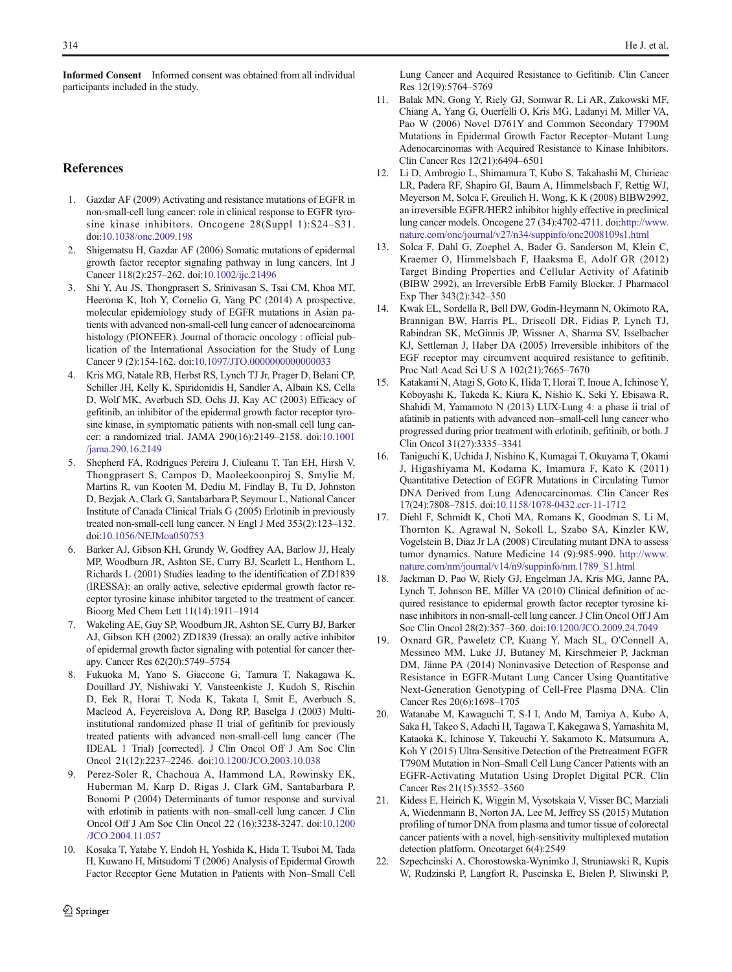<span id="page-7-0"></span>Informed Consent Informed consent was obtained from all individual participants included in the study.

# **References**

- 1. Gazdar AF (2009) Activating and resistance mutations of EGFR in non-small-cell lung cancer: role in clinical response to EGFR tyrosine kinase inhibitors. Oncogene 28(Suppl 1):S24–S31. doi:[10.1038/onc.2009.198](http://dx.doi.org/10.1038/onc.2009.198)
- 2. Shigematsu H, Gazdar AF (2006) Somatic mutations of epidermal growth factor receptor signaling pathway in lung cancers. Int J Cancer 118(2):257–262. doi[:10.1002/ijc.21496](http://dx.doi.org/10.1002/ijc.21496)
- 3. Shi Y, Au JS, Thongprasert S, Srinivasan S, Tsai CM, Khoa MT, Heeroma K, Itoh Y, Cornelio G, Yang PC (2014) A prospective, molecular epidemiology study of EGFR mutations in Asian patients with advanced non-small-cell lung cancer of adenocarcinoma histology (PIONEER). Journal of thoracic oncology : official publication of the International Association for the Study of Lung Cancer 9 (2):154-162. doi[:10.1097/JTO.0000000000000033](http://dx.doi.org/10.1097/JTO.0000000000000033)
- 4. Kris MG, Natale RB, Herbst RS, Lynch TJ Jr, Prager D, Belani CP, Schiller JH, Kelly K, Spiridonidis H, Sandler A, Albain KS, Cella D, Wolf MK, Averbuch SD, Ochs JJ, Kay AC (2003) Efficacy of gefitinib, an inhibitor of the epidermal growth factor receptor tyrosine kinase, in symptomatic patients with non-small cell lung cancer: a randomized trial. JAMA 290(16):2149–2158. doi[:10.1001](http://dx.doi.org/10.1001/jama.290.16.2149) [/jama.290.16.2149](http://dx.doi.org/10.1001/jama.290.16.2149)
- 5. Shepherd FA, Rodrigues Pereira J, Ciuleanu T, Tan EH, Hirsh V, Thongprasert S, Campos D, Maoleekoonpiroj S, Smylie M, Martins R, van Kooten M, Dediu M, Findlay B, Tu D, Johnston D, Bezjak A, Clark G, Santabarbara P, Seymour L, National Cancer Institute of Canada Clinical Trials G (2005) Erlotinib in previously treated non-small-cell lung cancer. N Engl J Med 353(2):123–132. doi:[10.1056/NEJMoa050753](http://dx.doi.org/10.1056/NEJMoa050753)
- 6. Barker AJ, Gibson KH, Grundy W, Godfrey AA, Barlow JJ, Healy MP, Woodburn JR, Ashton SE, Curry BJ, Scarlett L, Henthorn L, Richards L (2001) Studies leading to the identification of ZD1839 (IRESSA): an orally active, selective epidermal growth factor receptor tyrosine kinase inhibitor targeted to the treatment of cancer. Bioorg Med Chem Lett 11(14):1911–1914
- 7. Wakeling AE, Guy SP, Woodburn JR, Ashton SE, Curry BJ, Barker AJ, Gibson KH (2002) ZD1839 (Iressa): an orally active inhibitor of epidermal growth factor signaling with potential for cancer therapy. Cancer Res 62(20):5749–5754
- 8. Fukuoka M, Yano S, Giaccone G, Tamura T, Nakagawa K, Douillard JY, Nishiwaki Y, Vansteenkiste J, Kudoh S, Rischin D, Eek R, Horai T, Noda K, Takata I, Smit E, Averbuch S, Macleod A, Feyereislova A, Dong RP, Baselga J (2003) Multiinstitutional randomized phase II trial of gefitinib for previously treated patients with advanced non-small-cell lung cancer (The IDEAL 1 Trial) [corrected]. J Clin Oncol Off J Am Soc Clin Oncol 21(12):2237–2246. doi[:10.1200/JCO.2003.10.038](http://dx.doi.org/10.1200/JCO.2003.10.038)
- 9. Perez-Soler R, Chachoua A, Hammond LA, Rowinsky EK, Huberman M, Karp D, Rigas J, Clark GM, Santabarbara P, Bonomi P (2004) Determinants of tumor response and survival with erlotinib in patients with non–small-cell lung cancer. J Clin Oncol Off J Am Soc Clin Oncol 22 (16):3238-3247. doi[:10.1200](http://dx.doi.org/10.1200/JCO.2004.11.057) [/JCO.2004.11.057](http://dx.doi.org/10.1200/JCO.2004.11.057)
- 10. Kosaka T, Yatabe Y, Endoh H, Yoshida K, Hida T, Tsuboi M, Tada H, Kuwano H, Mitsudomi T (2006) Analysis of Epidermal Growth Factor Receptor Gene Mutation in Patients with Non–Small Cell

 $\hat{Z}$  Springer

Lung Cancer and Acquired Resistance to Gefitinib. Clin Cancer Res 12(19):5764–5769

- 11. Balak MN, Gong Y, Riely GJ, Somwar R, Li AR, Zakowski MF, Chiang A, Yang G, Ouerfelli O, Kris MG, Ladanyi M, Miller VA, Pao W (2006) Novel D761Y and Common Secondary T790M Mutations in Epidermal Growth Factor Receptor–Mutant Lung Adenocarcinomas with Acquired Resistance to Kinase Inhibitors. Clin Cancer Res 12(21):6494–6501
- 12. Li D, Ambrogio L, Shimamura T, Kubo S, Takahashi M, Chirieac LR, Padera RF, Shapiro GI, Baum A, Himmelsbach F, Rettig WJ, Meyerson M, Solca F, Greulich H, Wong, K K (2008) BIBW2992, an irreversible EGFR/HER2 inhibitor highly effective in preclinical lung cancer models. Oncogene 27 (34):4702-4711. doi[:http://www.](http://www.nature.com/onc/journal/v27/n34/suppinfo/onc2008109s1.html) [nature.com/onc/journal/v27/n34/suppinfo/onc2008109s1.html](http://www.nature.com/onc/journal/v27/n34/suppinfo/onc2008109s1.html)
- 13. Solca F, Dahl G, Zoephel A, Bader G, Sanderson M, Klein C, Kraemer O, Himmelsbach F, Haaksma E, Adolf GR (2012) Target Binding Properties and Cellular Activity of Afatinib (BIBW 2992), an Irreversible ErbB Family Blocker. J Pharmacol Exp Ther 343(2):342–350
- 14. Kwak EL, Sordella R, Bell DW, Godin-Heymann N, Okimoto RA, Brannigan BW, Harris PL, Driscoll DR, Fidias P, Lynch TJ, Rabindran SK, McGinnis JP, Wissner A, Sharma SV, Isselbacher KJ, Settleman J, Haber DA (2005) Irreversible inhibitors of the EGF receptor may circumvent acquired resistance to gefitinib. Proc Natl Acad Sci U S A 102(21):7665–7670
- 15. Katakami N, Atagi S, Goto K, Hida T, Horai T, Inoue A, Ichinose Y, Koboyashi K, Takeda K, Kiura K, Nishio K, Seki Y, Ebisawa R, Shahidi M, Yamamoto N (2013) LUX-Lung 4: a phase ii trial of afatinib in patients with advanced non–small-cell lung cancer who progressed during prior treatment with erlotinib, gefitinib, or both. J Clin Oncol 31(27):3335–3341
- 16. Taniguchi K, Uchida J, Nishino K, Kumagai T, Okuyama T, Okami J, Higashiyama M, Kodama K, Imamura F, Kato K (2011) Quantitative Detection of EGFR Mutations in Circulating Tumor DNA Derived from Lung Adenocarcinomas. Clin Cancer Res 17(24):7808–7815. doi[:10.1158/1078-0432.ccr-11-1712](http://dx.doi.org/10.1158/1078-0432.ccr-11-1712)
- 17. Diehl F, Schmidt K, Choti MA, Romans K, Goodman S, Li M, Thornton K, Agrawal N, Sokoll L, Szabo SA, Kinzler KW, Vogelstein B, Diaz Jr LA (2008) Circulating mutant DNA to assess tumor dynamics. Nature Medicine 14 (9):985-990. [http://www.](http://www.nature.com/nm/journal/v14/n9/suppinfo/nm.1789_S1.html) [nature.com/nm/journal/v14/n9/suppinfo/nm.1789\\_S1.html](http://www.nature.com/nm/journal/v14/n9/suppinfo/nm.1789_S1.html)
- 18. Jackman D, Pao W, Riely GJ, Engelman JA, Kris MG, Janne PA, Lynch T, Johnson BE, Miller VA (2010) Clinical definition of acquired resistance to epidermal growth factor receptor tyrosine kinase inhibitors in non-small-cell lung cancer. J Clin Oncol Off J Am Soc Clin Oncol 28(2):357–360. doi[:10.1200/JCO.2009.24.7049](http://dx.doi.org/10.1200/JCO.2009.24.7049)
- 19. Oxnard GR, Paweletz CP, Kuang Y, Mach SL, O'Connell A, Messineo MM, Luke JJ, Butaney M, Kirschmeier P, Jackman DM, Jänne PA (2014) Noninvasive Detection of Response and Resistance in EGFR-Mutant Lung Cancer Using Quantitative Next-Generation Genotyping of Cell-Free Plasma DNA. Clin Cancer Res 20(6):1698–1705
- 20. Watanabe M, Kawaguchi T, S-I I, Ando M, Tamiya A, Kubo A, Saka H, Takeo S, Adachi H, Tagawa T, Kakegawa S, Yamashita M, Kataoka K, Ichinose Y, Takeuchi Y, Sakamoto K, Matsumura A, Koh Y (2015) Ultra-Sensitive Detection of the Pretreatment EGFR T790M Mutation in Non–Small Cell Lung Cancer Patients with an EGFR-Activating Mutation Using Droplet Digital PCR. Clin Cancer Res 21(15):3552–3560
- 21. Kidess E, Heirich K, Wiggin M, Vysotskaia V, Visser BC, Marziali A, Wiedenmann B, Norton JA, Lee M, Jeffrey SS (2015) Mutation profiling of tumor DNA from plasma and tumor tissue of colorectal cancer patients with a novel, high-sensitivity multiplexed mutation detection platform. Oncotarget 6(4):2549
- 22. Szpechcinski A, Chorostowska-Wynimko J, Struniawski R, Kupis W, Rudzinski P, Langfort R, Puscinska E, Bielen P, Sliwinski P,